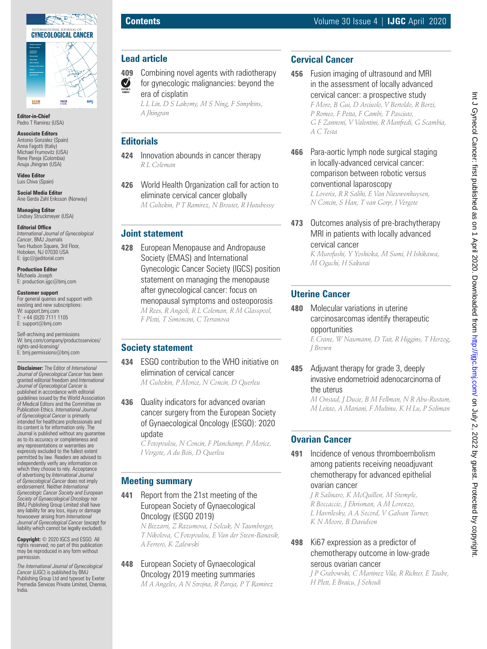

**Editor-in-Chief** Pedro T Ramirez (USA)

#### **Associate Editors**

Antonio Gonzalez (Spain) Anna Fagotti (Italiy) Michael Frumovitz (USA) Rene Pareja (Colombia) Anuja Jhingran (USA)

**Video Editor** Luis Chiva (Spain)

**Social Media Editor** Ane Gerda Zahl Eriksson (Norway)

**Managing Editor** Lindsey Struckmeyer (USA)

#### **Editorial Office**

*International Journal of Gynecological Cancer*, BMJ Journals Two Hudson Square, 3rd Floor, Hoboken, NJ 07030 USA E: ijgc@jjeditorial.com

**Production Editor** Michaela Joseph E: production.ijgc@bmj.com

#### **Customer support**

For general queries and support with existing and new subscriptions: W: support.bmj.com  $T: +44(0)2071111105$ E: support@bmj.com

Self-archiving and permissions W: bmj.com/company/productsservices/ rights-and-licensing/ E: bmj.permissions@bmj.com

**Disclaimer:** The Editor of *International Journal of Gynecological Cancer* has been granted editorial freedom and *International Journal of Gynecological Cancer* is published in accordance with editorial guidelines issued by the World Association of Medical Editors and the Committee on Publication Ethics. *International Journal of Gynecological Cancer* is primarily intended for healthcare professionals and its content is for information only. The Journal is published without any guarantee as to its accuracy or completeness and any representations or warranties are expressly excluded to the fullest extent permitted by law. Readers are advised to independently verify any information on which they choose to rely. Acceptance of advertising by *International Journal of Gynecological Cancer* does not imply endorsement. Neither *International Gynecologic Cancer Society and European Society of Gynaecological Oncology* nor BMJ Publishing Group Limited shall have any liability for any loss, injury or damage howsoever arising from *International Journal of Gynecological Cancer* (except for liability which cannot be legally excluded).

**Copyright:** © 2020 IGCS and ESGO. All rights reserved; no part of this publication may be reproduced in any form without permission.

*The International Journal of Gynecological Cancer* (*IJGC*) is published by BMJ Publishing Group Ltd and typeset by Exeter Premedia Services Private Limited, Chennai, India.

# **Lead article**

- **409** Combining novel agents with radiotherapy EDITOR'S for gynecologic malignancies: beyond the
	- era of cisplatin

*L L Lin, D S Lakomy, M S Ning, F Simpkins, A Jhingran*

#### **Editorials**

- **424** Innovation abounds in cancer therapy *R L Coleman*
- **426** World Health Organization call for action to eliminate cervical cancer globally

*M Gultekin, P T Ramirez, N Broutet, R Hutubessy*

#### **Joint statement**

**428** European Menopause and Andropause Society (EMAS) and International Gynecologic Cancer Society (IGCS) position statement on managing the menopause after gynecological cancer: focus on menopausal symptoms and osteoporosis *M Rees, R Angioli, R L Coleman, R M Glasspool, F Plotti, T Simoncini, C Terranova*

## **Society statement**

- **434** ESGO contribution to the WHO initiative on elimination of cervical cancer *M Gultekin, P Morice, N Concin, D Querleu*
- **436** Quality indicators for advanced ovarian cancer surgery from the European Society of Gynaecological Oncology (ESGO): 2020 update

*C Fotopoulou, N Concin, F Planchamp, P Morice, I Vergote, A du Bois, D Querleu*

## **Meeting summary**

**441** Report from the 21st meeting of the European Society of Gynaecological Oncology (ESGO 2019)

*N Bizzarri, Z Razumova, I Selcuk, N Taumberger, T Nikolova, C Fotopoulou, E Van der Steen-Banasik, A Ferrero, K Zalewski*

## **448** European Society of Gynaecological Oncology 2019 meeting summaries

*M A Angeles, A N Strojna, R Pareja, P T Ramirez*

## **Cervical Cancer**

- **456** Fusion imaging of ultrasound and MRI in the assessment of locally advanced cervical cancer: a prospective study *F Moro, B Gui, D Arciuolo, V Bertoldo, R Borzi, P Romeo, F Petta, F Cambi, T Pasciuto, G F Zannoni, V Valentini, R Manfredi, G Scambia, A C Testa*
- **466** Para-aortic lymph node surgical staging in locally-advanced cervical cancer: comparison between robotic versus conventional laparoscopy

*L Loverix, R R Salihi, E Van Nieuwenhuysen, N Concin, S Han, T van Gorp, I Vergote*

**473** Outcomes analysis of pre-brachytherapy MRI in patients with locally advanced cervical cancer

> *K Murofushi, Y Yoshioka, M Sumi, H Ishikawa, M Oguchi, H Sakurai*

#### **Uterine Cancer**

**480** Molecular variations in uterine carcinosarcomas identify therapeutic opportunities *E Crane, W Naumann, D Tait, R Higgins, T Herzog,* 

*J Brown*

**485** Adjuvant therapy for grade 3, deeply invasive endometrioid adenocarcinoma of the uterus

*M Onstad, J Ducie, B M Fellman, N R Abu-Rustum, M Leitao, A Mariani, F Multinu, K H Lu, P Soliman*

#### **Ovarian Cancer**

**491** Incidence of venous thromboembolism among patients receiving neoadjuvant chemotherapy for advanced epithelial ovarian cancer

> *J R Salinaro, K McQuillen, M Stemple, R Boccaccio, J Ehrisman, A M Lorenzo, L Havrilesky, A A Secord, V Galvan Turner, K N Moore, B Davidson*

#### **498** Ki67 expression as a predictor of chemotherapy outcome in low-grade serous ovarian cancer

*J P Grabowski, C Martinez Vila, R Richter, E Taube, H Plett, E Braicu, J Sehouli*